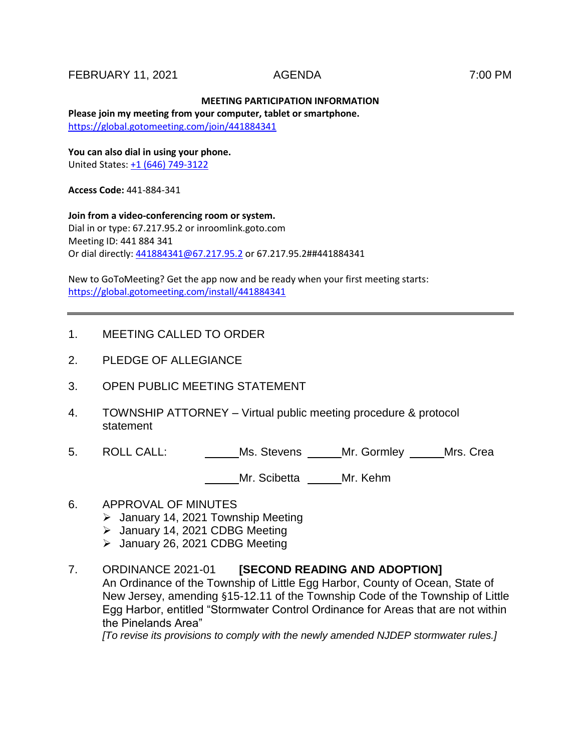### FEBRUARY 11, 2021 AGENDA 7:00 PM

## **MEETING PARTICIPATION INFORMATION**

**Please join my meeting from your computer, tablet or smartphone.**  <https://global.gotomeeting.com/join/441884341>

**You can also dial in using your phone.** United States[: +1 \(646\) 749-3122](tel:+16467493122,,441884341)

**Access Code:** 441-884-341

**Join from a video-conferencing room or system.** Dial in or type: 67.217.95.2 or inroomlink.goto.com Meeting ID: 441 884 341 Or dial directly: [441884341@67.217.95.2](mailto:441884341@67.217.95.2) or 67.217.95.2##441884341

New to GoToMeeting? Get the app now and be ready when your first meeting starts: <https://global.gotomeeting.com/install/441884341>

- 1. MEETING CALLED TO ORDER
- 2. PLEDGE OF ALLEGIANCE
- 3. OPEN PUBLIC MEETING STATEMENT
- 4. TOWNSHIP ATTORNEY Virtual public meeting procedure & protocol statement
- 5. ROLL CALL: Ms. Stevens \_\_\_\_\_ Mr. Gormley \_\_\_\_\_ Mrs. Crea

Mr. Scibetta **Mr. Kehm** 

- 6. APPROVAL OF MINUTES
	- January 14, 2021 Township Meeting
	- > January 14, 2021 CDBG Meeting
	- $\geq$  January 26, 2021 CDBG Meeting
- 7. ORDINANCE 2021-01 **[SECOND READING AND ADOPTION]** An Ordinance of the Township of Little Egg Harbor, County of Ocean, State of New Jersey, amending §15-12.11 of the Township Code of the Township of Little Egg Harbor, entitled "Stormwater Control Ordinance for Areas that are not within the Pinelands Area" *[To revise its provisions to comply with the newly amended NJDEP stormwater rules.]*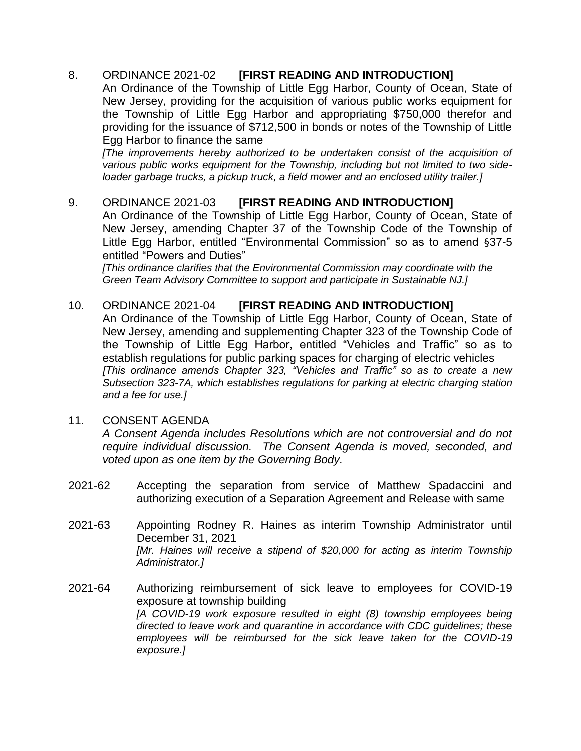# 8. ORDINANCE 2021-02 **[FIRST READING AND INTRODUCTION]**

An Ordinance of the Township of Little Egg Harbor, County of Ocean, State of New Jersey, providing for the acquisition of various public works equipment for the Township of Little Egg Harbor and appropriating \$750,000 therefor and providing for the issuance of \$712,500 in bonds or notes of the Township of Little Egg Harbor to finance the same

*[The improvements hereby authorized to be undertaken consist of the acquisition of various public works equipment for the Township, including but not limited to two sideloader garbage trucks, a pickup truck, a field mower and an enclosed utility trailer.]*

# 9. ORDINANCE 2021-03 **[FIRST READING AND INTRODUCTION]**

An Ordinance of the Township of Little Egg Harbor, County of Ocean, State of New Jersey, amending Chapter 37 of the Township Code of the Township of Little Egg Harbor, entitled "Environmental Commission" so as to amend §37-5 entitled "Powers and Duties"

*[This ordinance clarifies that the Environmental Commission may coordinate with the Green Team Advisory Committee to support and participate in Sustainable NJ.]*

# 10. ORDINANCE 2021-04 **[FIRST READING AND INTRODUCTION]**

An Ordinance of the Township of Little Egg Harbor, County of Ocean, State of New Jersey, amending and supplementing Chapter 323 of the Township Code of the Township of Little Egg Harbor, entitled "Vehicles and Traffic" so as to establish regulations for public parking spaces for charging of electric vehicles *[This ordinance amends Chapter 323, "Vehicles and Traffic" so as to create a new Subsection 323-7A, which establishes regulations for parking at electric charging station and a fee for use.]*

## 11. CONSENT AGENDA

*A Consent Agenda includes Resolutions which are not controversial and do not require individual discussion. The Consent Agenda is moved, seconded, and voted upon as one item by the Governing Body.* 

- 2021-62 Accepting the separation from service of Matthew Spadaccini and authorizing execution of a Separation Agreement and Release with same
- 2021-63 Appointing Rodney R. Haines as interim Township Administrator until December 31, 2021 *[Mr. Haines will receive a stipend of \$20,000 for acting as interim Township Administrator.]*
- 2021-64 Authorizing reimbursement of sick leave to employees for COVID-19 exposure at township building *[A COVID-19 work exposure resulted in eight (8) township employees being directed to leave work and quarantine in accordance with CDC guidelines; these employees will be reimbursed for the sick leave taken for the COVID-19 exposure.]*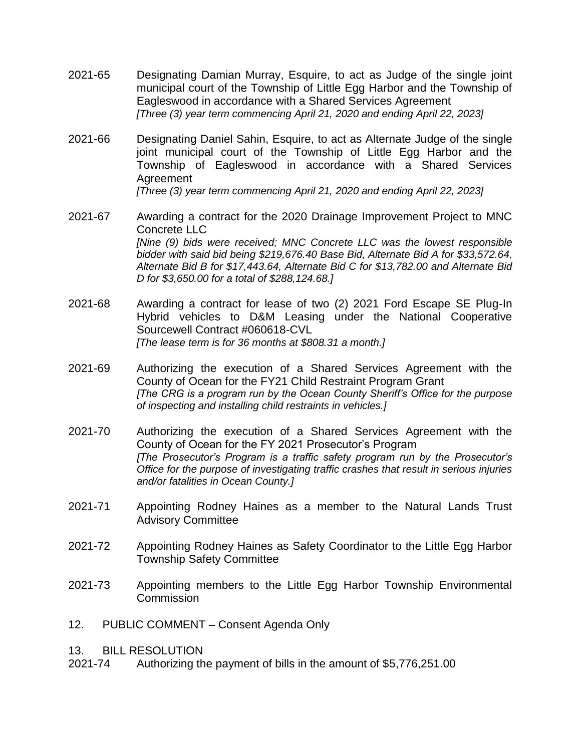- 2021-65 Designating Damian Murray, Esquire, to act as Judge of the single joint municipal court of the Township of Little Egg Harbor and the Township of Eagleswood in accordance with a Shared Services Agreement *[Three (3) year term commencing April 21, 2020 and ending April 22, 2023]*
- 2021-66 Designating Daniel Sahin, Esquire, to act as Alternate Judge of the single joint municipal court of the Township of Little Egg Harbor and the Township of Eagleswood in accordance with a Shared Services Agreement

*[Three (3) year term commencing April 21, 2020 and ending April 22, 2023]*

- 2021-67 Awarding a contract for the 2020 Drainage Improvement Project to MNC Concrete LLC *[Nine (9) bids were received; MNC Concrete LLC was the lowest responsible bidder with said bid being \$219,676.40 Base Bid, Alternate Bid A for \$33,572.64, Alternate Bid B for \$17,443.64, Alternate Bid C for \$13,782.00 and Alternate Bid D for \$3,650.00 for a total of \$288,124.68.]*
- 2021-68 Awarding a contract for lease of two (2) 2021 Ford Escape SE Plug-In Hybrid vehicles to D&M Leasing under the National Cooperative Sourcewell Contract #060618-CVL *[The lease term is for 36 months at \$808.31 a month.]*
- 2021-69 Authorizing the execution of a Shared Services Agreement with the County of Ocean for the FY21 Child Restraint Program Grant *[The CRG is a program run by the Ocean County Sheriff's Office for the purpose of inspecting and installing child restraints in vehicles.]*
- 2021-70 Authorizing the execution of a Shared Services Agreement with the County of Ocean for the FY 2021 Prosecutor's Program *[The Prosecutor's Program is a traffic safety program run by the Prosecutor's Office for the purpose of investigating traffic crashes that result in serious injuries and/or fatalities in Ocean County.]*
- 2021-71 Appointing Rodney Haines as a member to the Natural Lands Trust Advisory Committee
- 2021-72 Appointing Rodney Haines as Safety Coordinator to the Little Egg Harbor Township Safety Committee
- 2021-73 Appointing members to the Little Egg Harbor Township Environmental **Commission**
- 12. PUBLIC COMMENT Consent Agenda Only
- 13. BILL RESOLUTION
- 2021-74 Authorizing the payment of bills in the amount of \$5,776,251.00